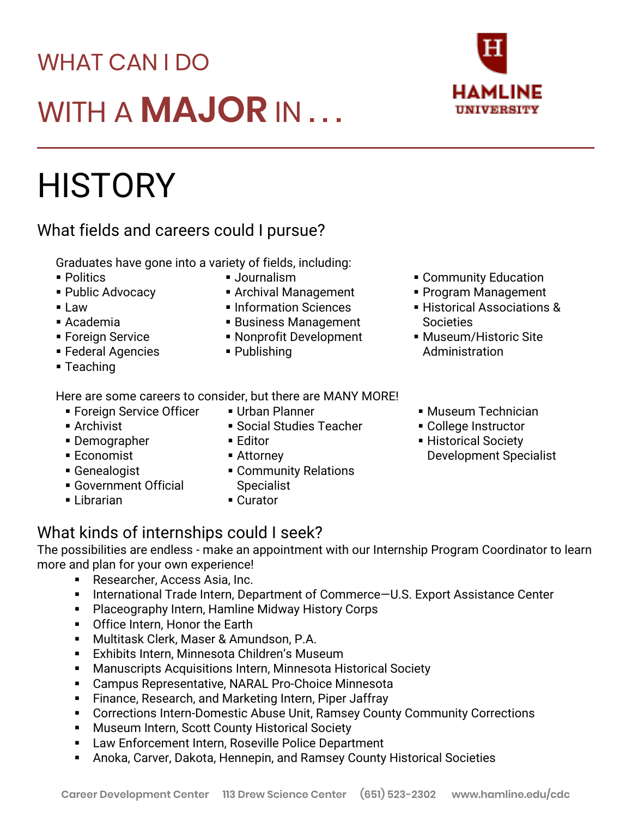## WHAT CAN I DO WITH A **MAJOR** IN . . .

# **HISTORY**

#### What fields and careers could I pursue?

Graduates have gone into a variety of fields, including:

- Politics
- Public Advocacy
- Law
- Academia
- Foreign Service
- **E** Federal Agencies
- Teaching
- Here are some careers to consider, but there are MANY MORE!
	- **Exercign Service Officer** ■ Archivist
	- Demographer
	- Economist
	- Genealogist
	- **Government Official**
	- **E** Librarian
- Urban Planner
- **Social Studies Teacher**
- Editor
- Attorney
- **Example 1** Community Relations **Specialist**
- Curator

### What kinds of internships could I seek?

The possibilities are endless - make an appointment with our Internship Program Coordinator to learn more and plan for your own experience!

- Researcher, Access Asia, Inc.
- International Trade Intern, Department of Commerce-U.S. Export Assistance Center
- Placeography Intern, Hamline Midway History Corps
- **•** Office Intern, Honor the Earth
- Multitask Clerk, Maser & Amundson, P.A.
- Exhibits Intern, Minnesota Children's Museum
- Manuscripts Acquisitions Intern, Minnesota Historical Society
- Campus Representative, NARAL Pro-Choice Minnesota
- Finance, Research, and Marketing Intern, Piper Jaffray
- Corrections Intern-Domestic Abuse Unit, Ramsey County Community Corrections
- Museum Intern, Scott County Historical Society
- **EXECT** Law Enforcement Intern, Roseville Police Department
- Anoka, Carver, Dakota, Hennepin, and Ramsey County Historical Societies
- Program Management
- **EXECUTE: Historical Associations & Societies**

HAMLINF **UNIVERSITY** 

- **Museum/Historic Site** Administration
- **Museum Technician**
- College Instructor
- **Exercical Society** Development Specialist

■ Journalism **Example 1 Community Education** 

- Archival Management
- **· Information Sciences**
- **Business Management**
- Nonprofit Development
- Publishing
-